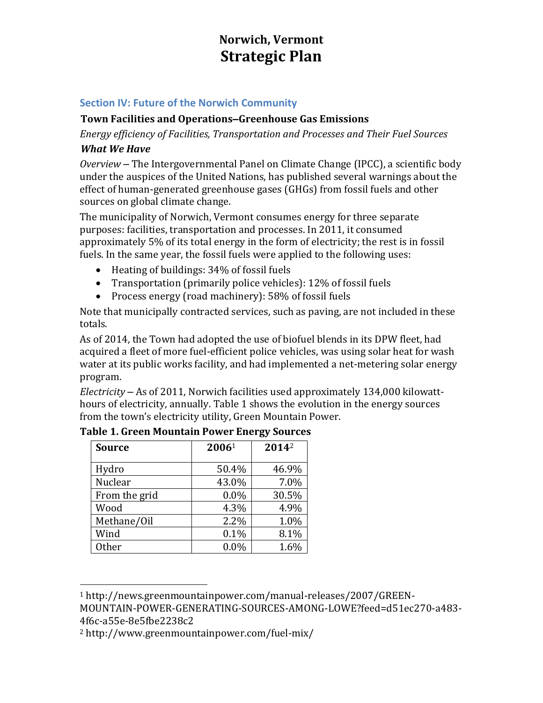# **Norwich, Vermont Strategic Plan**

# **Section IV: Future of the Norwich Community**

# **Town Facilities and Operations–Greenhouse Gas Emissions**

*Energy efficiency of Facilities, Transportation and Processes and Their Fuel Sources What We Have*

*Overview* – The Intergovernmental Panel on Climate Change (IPCC), a scientific body under the auspices of the United Nations, has published several warnings about the effect of human-generated greenhouse gases (GHGs) from fossil fuels and other sources on global climate change.

The municipality of Norwich, Vermont consumes energy for three separate purposes: facilities, transportation and processes. In 2011, it consumed approximately 5% of its total energy in the form of electricity; the rest is in fossil fuels. In the same year, the fossil fuels were applied to the following uses:

- Heating of buildings: 34% of fossil fuels
- Transportation (primarily police vehicles): 12% of fossil fuels
- Process energy (road machinery): 58% of fossil fuels

Note that municipally contracted services, such as paving, are not included in these totals.

As of 2014, the Town had adopted the use of biofuel blends in its DPW fleet, had acquired a fleet of more fuel-efficient police vehicles, was using solar heat for wash water at its public works facility, and had implemented a net-metering solar energy program.

*Electricity* – As of 2011, Norwich facilities used approximately 134,000 kilowatthours of electricity, annually. Table 1 shows the evolution in the energy sources from the town's electricity utility, Green Mountain Power.

| <b>Source</b> | 20061 | 2014 <sup>2</sup> |
|---------------|-------|-------------------|
|               |       |                   |
| Hydro         | 50.4% | 46.9%             |
| Nuclear       | 43.0% | 7.0%              |
| From the grid | 0.0%  | 30.5%             |
| Wood          | 4.3%  | 4.9%              |
| Methane/Oil   | 2.2%  | 1.0%              |
| Wind          | 0.1%  | 8.1%              |
| <b>Other</b>  | 0.0%  | 1.6%              |

**Table 1. Green Mountain Power Energy Sources**

<sup>1</sup> http://news.greenmountainpower.com/manual-releases/2007/GREEN-MOUNTAIN-POWER-GENERATING-SOURCES-AMONG-LOWE?feed=d51ec270-a483- 4f6c-a55e-8e5fbe2238c2

<sup>2</sup> http://www.greenmountainpower.com/fuel-mix/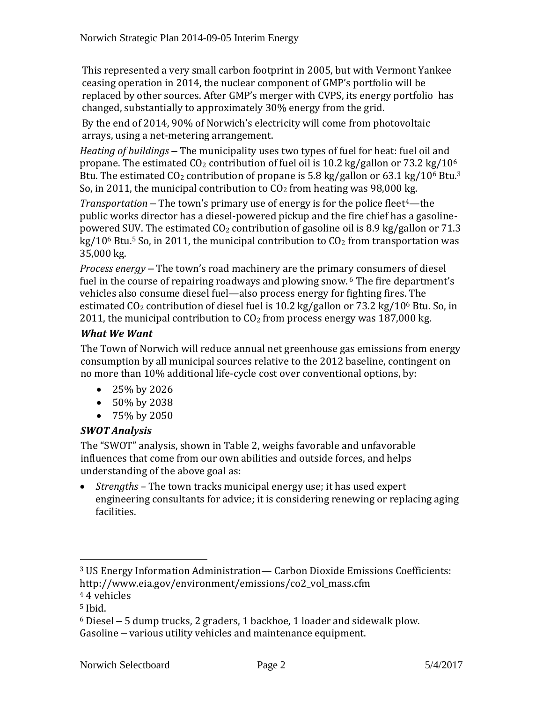This represented a very small carbon footprint in 2005, but with Vermont Yankee ceasing operation in 2014, the nuclear component of GMP's portfolio will be replaced by other sources. After GMP's merger with CVPS, its energy portfolio has changed, substantially to approximately 30% energy from the grid.

By the end of 2014, 90% of Norwich's electricity will come from photovoltaic arrays, using a net-metering arrangement.

*Heating of buildings* – The municipality uses two types of fuel for heat: fuel oil and propane. The estimated  $CO<sub>2</sub>$  contribution of fuel oil is 10.2 kg/gallon or 73.2 kg/10<sup>6</sup> Btu. The estimated  $CO<sub>2</sub>$  contribution of propane is 5.8 kg/gallon or 63.1 kg/10<sup>6</sup> Btu.<sup>3</sup> So, in 2011, the municipal contribution to  $CO<sub>2</sub>$  from heating was 98,000 kg.

*Transportation* – The town's primary use of energy is for the police fleet4—the public works director has a diesel-powered pickup and the fire chief has a gasolinepowered SUV. The estimated  $CO<sub>2</sub>$  contribution of gasoline oil is 8.9 kg/gallon or 71.3  $kg/10^6$  Btu.<sup>5</sup> So, in 2011, the municipal contribution to  $CO<sub>2</sub>$  from transportation was 35,000 kg.

*Process energy* – The town's road machinery are the primary consumers of diesel fuel in the course of repairing roadways and plowing snow. <sup>6</sup> The fire department's vehicles also consume diesel fuel—also process energy for fighting fires. The estimated  $CO<sub>2</sub>$  contribution of diesel fuel is 10.2 kg/gallon or 73.2 kg/10<sup>6</sup> Btu. So, in 2011, the municipal contribution to  $CO<sub>2</sub>$  from process energy was 187,000 kg.

# *What We Want*

The Town of Norwich will reduce annual net greenhouse gas emissions from energy consumption by all municipal sources relative to the 2012 baseline, contingent on no more than 10% additional life-cycle cost over conventional options, by:

- $\bullet$  25% by 2026
- 50% by 2038
- 75% by 2050

# *SWOT Analysis*

The "SWOT" analysis, shown in Table 2, weighs favorable and unfavorable influences that come from our own abilities and outside forces, and helps understanding of the above goal as:

 *Strengths –* The town tracks municipal energy use; it has used expert engineering consultants for advice; it is considering renewing or replacing aging facilities.

<sup>3</sup> US Energy Information Administration— Carbon Dioxide Emissions Coefficients: http://www.eia.gov/environment/emissions/co2\_vol\_mass.cfm

<sup>4</sup> 4 vehicles

 $5$  Ibid.

<sup>6</sup> Diesel – 5 dump trucks, 2 graders, 1 backhoe, 1 loader and sidewalk plow. Gasoline – various utility vehicles and maintenance equipment.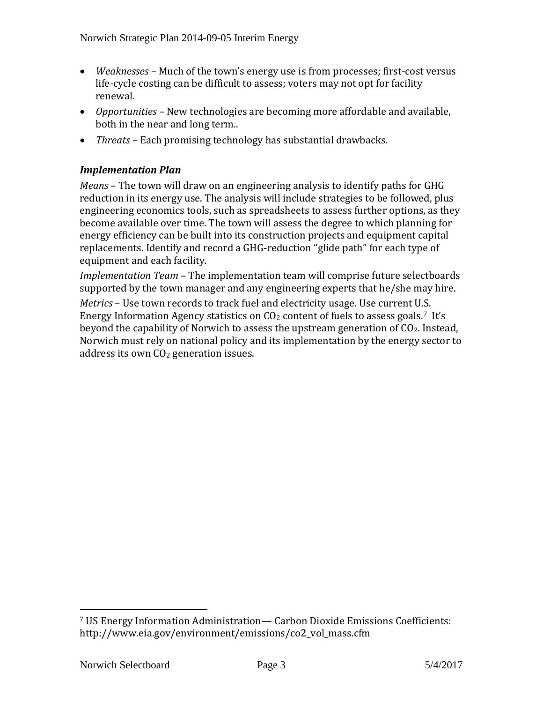- *Weaknesses –* Much of the town's energy use is from processes; first-cost versus life-cycle costing can be difficult to assess; voters may not opt for facility renewal.
- *Opportunities –* New technologies are becoming more affordable and available, both in the near and long term..
- *Threats –* Each promising technology has substantial drawbacks.

# *Implementation Plan*

*Means* – The town will draw on an engineering analysis to identify paths for GHG reduction in its energy use. The analysis will include strategies to be followed, plus engineering economics tools, such as spreadsheets to assess further options, as they become available over time. The town will assess the degree to which planning for energy efficiency can be built into its construction projects and equipment capital replacements. Identify and record a GHG-reduction "glide path" for each type of equipment and each facility.

*Implementation Team* – The implementation team will comprise future selectboards supported by the town manager and any engineering experts that he/she may hire.

*Metrics* – Use town records to track fuel and electricity usage. Use current U.S. Energy Information Agency statistics on  $CO<sub>2</sub>$  content of fuels to assess goals.<sup>7</sup> It's beyond the capability of Norwich to assess the upstream generation of  $CO<sub>2</sub>$ . Instead, Norwich must rely on national policy and its implementation by the energy sector to address its own CO<sub>2</sub> generation issues.

<sup>7</sup> US Energy Information Administration— Carbon Dioxide Emissions Coefficients: http://www.eia.gov/environment/emissions/co2\_vol\_mass.cfm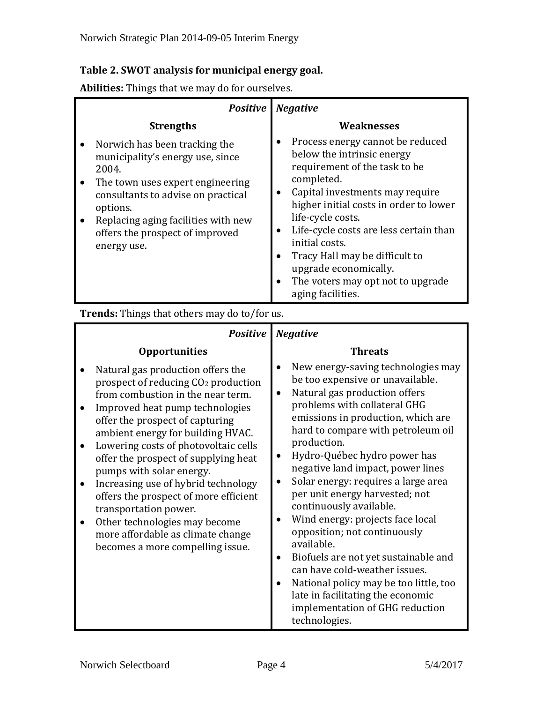# **Table 2. SWOT analysis for municipal energy goal.**

**Abilities:** Things that we may do for ourselves.

| <b>Positive</b>                                                                                                                                                                                                                                                        | <b>Negative</b>                                                                                                                                                                                                                                                                                                                                                                                  |
|------------------------------------------------------------------------------------------------------------------------------------------------------------------------------------------------------------------------------------------------------------------------|--------------------------------------------------------------------------------------------------------------------------------------------------------------------------------------------------------------------------------------------------------------------------------------------------------------------------------------------------------------------------------------------------|
| <b>Strengths</b>                                                                                                                                                                                                                                                       | <b>Weaknesses</b>                                                                                                                                                                                                                                                                                                                                                                                |
| Norwich has been tracking the<br>municipality's energy use, since<br>2004.<br>The town uses expert engineering<br>consultants to advise on practical<br>options.<br>Replacing aging facilities with new<br>$\bullet$<br>offers the prospect of improved<br>energy use. | Process energy cannot be reduced<br>below the intrinsic energy<br>requirement of the task to be<br>completed.<br>Capital investments may require<br>higher initial costs in order to lower<br>life-cycle costs.<br>Life-cycle costs are less certain than<br>initial costs.<br>Tracy Hall may be difficult to<br>upgrade economically.<br>The voters may opt not to upgrade<br>aging facilities. |

**Trends:** Things that others may do to/for us.

| <b>Positive</b>                                                                                                                                                                                                                                                                                                                                                                                                                                                                                                                                                     | <b>Negative</b>                                                                                                                                                                                                                                                                                                                                                                                                                                                                                                                                                                                                                                                                                                                                  |
|---------------------------------------------------------------------------------------------------------------------------------------------------------------------------------------------------------------------------------------------------------------------------------------------------------------------------------------------------------------------------------------------------------------------------------------------------------------------------------------------------------------------------------------------------------------------|--------------------------------------------------------------------------------------------------------------------------------------------------------------------------------------------------------------------------------------------------------------------------------------------------------------------------------------------------------------------------------------------------------------------------------------------------------------------------------------------------------------------------------------------------------------------------------------------------------------------------------------------------------------------------------------------------------------------------------------------------|
| <b>Opportunities</b>                                                                                                                                                                                                                                                                                                                                                                                                                                                                                                                                                | <b>Threats</b>                                                                                                                                                                                                                                                                                                                                                                                                                                                                                                                                                                                                                                                                                                                                   |
| Natural gas production offers the<br>prospect of reducing CO <sub>2</sub> production<br>from combustion in the near term.<br>Improved heat pump technologies<br>offer the prospect of capturing<br>ambient energy for building HVAC.<br>Lowering costs of photovoltaic cells<br>offer the prospect of supplying heat<br>pumps with solar energy.<br>Increasing use of hybrid technology<br>offers the prospect of more efficient<br>transportation power.<br>Other technologies may become<br>more affordable as climate change<br>becomes a more compelling issue. | New energy-saving technologies may<br>be too expensive or unavailable.<br>Natural gas production offers<br>$\bullet$<br>problems with collateral GHG<br>emissions in production, which are<br>hard to compare with petroleum oil<br>production.<br>Hydro-Québec hydro power has<br>$\bullet$<br>negative land impact, power lines<br>Solar energy: requires a large area<br>$\bullet$<br>per unit energy harvested; not<br>continuously available.<br>Wind energy: projects face local<br>opposition; not continuously<br>available.<br>Biofuels are not yet sustainable and<br>can have cold-weather issues.<br>National policy may be too little, too<br>late in facilitating the economic<br>implementation of GHG reduction<br>technologies. |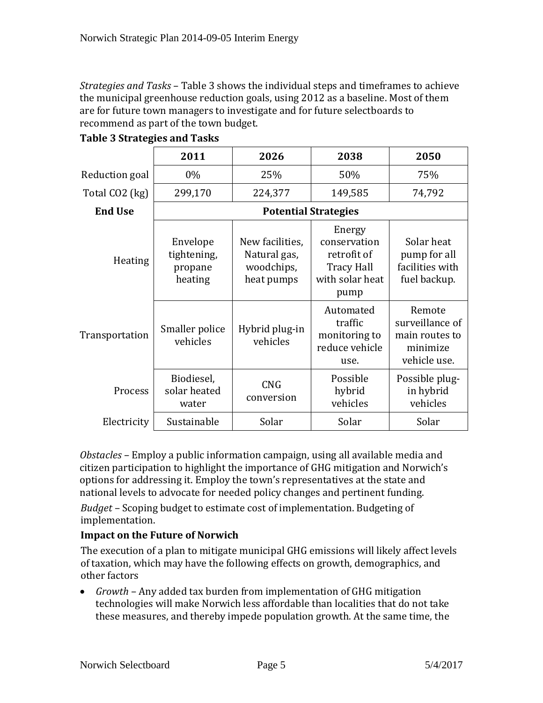*Strategies and Tasks* – Table 3 shows the individual steps and timeframes to achieve the municipal greenhouse reduction goals, using 2012 as a baseline. Most of them are for future town managers to investigate and for future selectboards to recommend as part of the town budget.

|                | 2011                                          | 2026                                                        | 2038                                                                                  | 2050                                                                    |
|----------------|-----------------------------------------------|-------------------------------------------------------------|---------------------------------------------------------------------------------------|-------------------------------------------------------------------------|
| Reduction goal | $0\%$                                         | 25%                                                         | 50%                                                                                   | 75%                                                                     |
| Total CO2 (kg) | 299,170                                       | 224,377                                                     | 149,585                                                                               | 74,792                                                                  |
| <b>End Use</b> | <b>Potential Strategies</b>                   |                                                             |                                                                                       |                                                                         |
| Heating        | Envelope<br>tightening,<br>propane<br>heating | New facilities,<br>Natural gas,<br>woodchips,<br>heat pumps | Energy<br>conservation<br>retrofit of<br><b>Tracy Hall</b><br>with solar heat<br>pump | Solar heat<br>pump for all<br>facilities with<br>fuel backup.           |
| Transportation | Smaller police<br>vehicles                    | Hybrid plug-in<br>vehicles                                  | Automated<br>traffic<br>monitoring to<br>reduce vehicle<br>use.                       | Remote<br>surveillance of<br>main routes to<br>minimize<br>vehicle use. |
| Process        | Biodiesel,<br>solar heated<br>water           | <b>CNG</b><br>conversion                                    | Possible<br>hybrid<br>vehicles                                                        | Possible plug-<br>in hybrid<br>vehicles                                 |
| Electricity    | Sustainable                                   | Solar                                                       | Solar                                                                                 | Solar                                                                   |

|  |  |  | <b>Table 3 Strategies and Tasks</b> |
|--|--|--|-------------------------------------|
|--|--|--|-------------------------------------|

*Obstacles* – Employ a public information campaign, using all available media and citizen participation to highlight the importance of GHG mitigation and Norwich's options for addressing it. Employ the town's representatives at the state and national levels to advocate for needed policy changes and pertinent funding.

*Budget* – Scoping budget to estimate cost of implementation. Budgeting of implementation.

# **Impact on the Future of Norwich**

The execution of a plan to mitigate municipal GHG emissions will likely affect levels of taxation, which may have the following effects on growth, demographics, and other factors

 *Growth* – Any added tax burden from implementation of GHG mitigation technologies will make Norwich less affordable than localities that do not take these measures, and thereby impede population growth. At the same time, the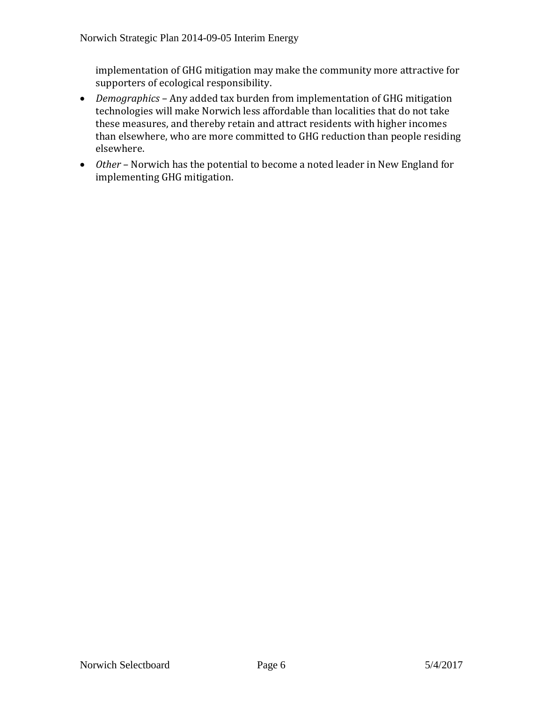implementation of GHG mitigation may make the community more attractive for supporters of ecological responsibility.

- *Demographics* Any added tax burden from implementation of GHG mitigation technologies will make Norwich less affordable than localities that do not take these measures, and thereby retain and attract residents with higher incomes than elsewhere, who are more committed to GHG reduction than people residing elsewhere.
- *Other* Norwich has the potential to become a noted leader in New England for implementing GHG mitigation.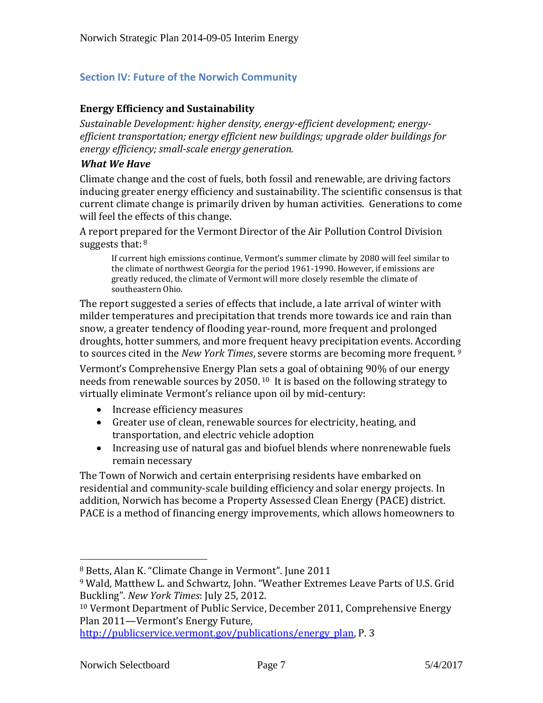### **Section IV: Future of the Norwich Community**

#### **Energy Efficiency and Sustainability**

*Sustainable Development: higher density, energy-efficient development; energyefficient transportation; energy efficient new buildings; upgrade older buildings for energy efficiency; small-scale energy generation.*

#### *What We Have*

Climate change and the cost of fuels, both fossil and renewable, are driving factors inducing greater energy efficiency and sustainability. The scientific consensus is that current climate change is primarily driven by human activities. Generations to come will feel the effects of this change.

A report prepared for the Vermont Director of the Air Pollution Control Division suggests that:  $8$ 

If current high emissions continue, Vermont's summer climate by 2080 will feel similar to the climate of northwest Georgia for the period 1961-1990. However, if emissions are greatly reduced, the climate of Vermont will more closely resemble the climate of southeastern Ohio.

The report suggested a series of effects that include, a late arrival of winter with milder temperatures and precipitation that trends more towards ice and rain than snow, a greater tendency of flooding year-round, more frequent and prolonged droughts, hotter summers, and more frequent heavy precipitation events. According to sources cited in the *New York Times*, severe storms are becoming more frequent. *<sup>9</sup>*

Vermont's Comprehensive Energy Plan sets a goal of obtaining 90% of our energy needs from renewable sources by 2050. <sup>10</sup> It is based on the following strategy to virtually eliminate Vermont's reliance upon oil by mid-century:

- Increase efficiency measures
- Greater use of clean, renewable sources for electricity, heating, and transportation, and electric vehicle adoption
- Increasing use of natural gas and biofuel blends where nonrenewable fuels remain necessary

The Town of Norwich and certain enterprising residents have embarked on residential and community-scale building efficiency and solar energy projects. In addition, Norwich has become a Property Assessed Clean Energy (PACE) district. PACE is a method of financing energy improvements, which allows homeowners to

<sup>8</sup> Betts, Alan K. "Climate Change in Vermont". June 2011

<sup>9</sup> Wald, Matthew L. and Schwartz, John. "Weather Extremes Leave Parts of U.S. Grid Buckling". *New York Times*: July 25, 2012.

<sup>10</sup> Vermont Department of Public Service, December 2011, Comprehensive Energy Plan 2011—Vermont's Energy Future,

[http://publicservice.vermont.gov/publications/energy\\_plan,](http://publicservice.vermont.gov/publications/energy_plan) P. 3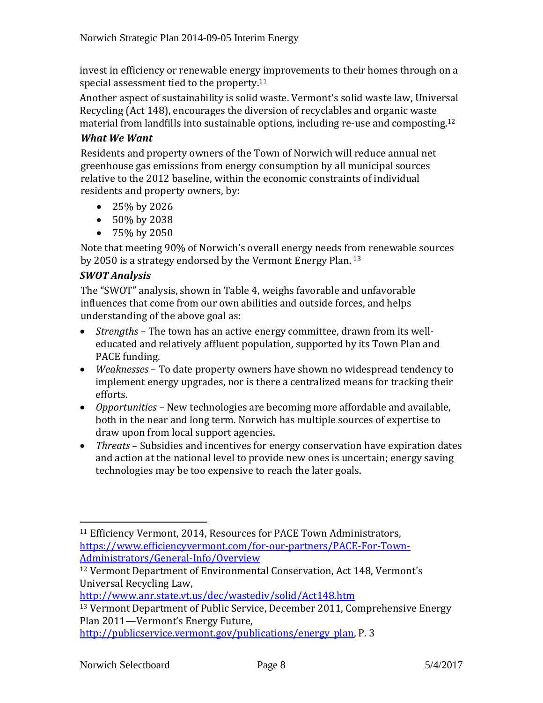invest in efficiency or renewable energy improvements to their homes through on a special assessment tied to the property.<sup>11</sup>

Another aspect of sustainability is solid waste. Vermont's solid waste law, Universal Recycling (Act 148), encourages the diversion of recyclables and organic waste material from landfills into sustainable options, including re-use and composting.<sup>12</sup>

# *What We Want*

Residents and property owners of the Town of Norwich will reduce annual net greenhouse gas emissions from energy consumption by all municipal sources relative to the 2012 baseline, within the economic constraints of individual residents and property owners, by:

- 25% by 2026
- $\bullet$  50% by 2038
- 75% by 2050

Note that meeting 90% of Norwich's overall energy needs from renewable sources by 2050 is a strategy endorsed by the Vermont Energy Plan. <sup>13</sup>

# *SWOT Analysis*

The "SWOT" analysis, shown in Table 4, weighs favorable and unfavorable influences that come from our own abilities and outside forces, and helps understanding of the above goal as:

- *Strengths* The town has an active energy committee, drawn from its welleducated and relatively affluent population, supported by its Town Plan and PACE funding.
- *Weaknesses* To date property owners have shown no widespread tendency to implement energy upgrades, nor is there a centralized means for tracking their efforts.
- *Opportunities* New technologies are becoming more affordable and available, both in the near and long term. Norwich has multiple sources of expertise to draw upon from local support agencies.
- *Threats* Subsidies and incentives for energy conservation have expiration dates and action at the national level to provide new ones is uncertain; energy saving technologies may be too expensive to reach the later goals.

<http://www.anr.state.vt.us/dec/wastediv/solid/Act148.htm>

<sup>11</sup> Efficiency Vermont, 2014, Resources for PACE Town Administrators, [https://www.efficiencyvermont.com/for-our-partners/PACE-For-Town-](https://www.efficiencyvermont.com/for-our-partners/PACE-For-Town-Administrators/General-Info/Overview)[Administrators/General-Info/Overview](https://www.efficiencyvermont.com/for-our-partners/PACE-For-Town-Administrators/General-Info/Overview)

<sup>12</sup> Vermont Department of Environmental Conservation, Act 148, Vermont's Universal Recycling Law,

<sup>13</sup> Vermont Department of Public Service, December 2011, Comprehensive Energy Plan 2011—Vermont's Energy Future,

[http://publicservice.vermont.gov/publications/energy\\_plan,](http://publicservice.vermont.gov/publications/energy_plan) P. 3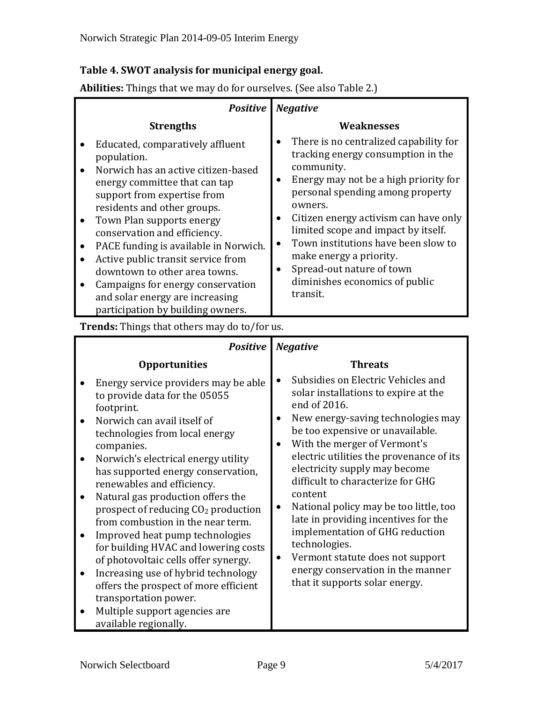# **Table 4. SWOT analysis for municipal energy goal.**

**Abilities:** Things that we may do for ourselves. (See also Table 2.)

|                                                  | <b>Positive</b>                                                                                                                                                                                                                                                                                                                                                                                                                                                                 | <b>Negative</b>                                                                                                                                                                                                                                                                                                                                                                                                 |
|--------------------------------------------------|---------------------------------------------------------------------------------------------------------------------------------------------------------------------------------------------------------------------------------------------------------------------------------------------------------------------------------------------------------------------------------------------------------------------------------------------------------------------------------|-----------------------------------------------------------------------------------------------------------------------------------------------------------------------------------------------------------------------------------------------------------------------------------------------------------------------------------------------------------------------------------------------------------------|
|                                                  | <b>Strengths</b>                                                                                                                                                                                                                                                                                                                                                                                                                                                                | Weaknesses                                                                                                                                                                                                                                                                                                                                                                                                      |
| $\bullet$<br>$\bullet$<br>$\bullet$<br>$\bullet$ | Educated, comparatively affluent<br>population.<br>Norwich has an active citizen-based<br>energy committee that can tap<br>support from expertise from<br>residents and other groups.<br>Town Plan supports energy<br>conservation and efficiency.<br>PACE funding is available in Norwich.<br>Active public transit service from<br>downtown to other area towns.<br>Campaigns for energy conservation<br>and solar energy are increasing<br>participation by building owners. | There is no centralized capability for<br>tracking energy consumption in the<br>community.<br>Energy may not be a high priority for<br>personal spending among property<br>owners.<br>Citizen energy activism can have only<br>limited scope and impact by itself.<br>Town institutions have been slow to<br>make energy a priority.<br>Spread-out nature of town<br>diminishes economics of public<br>transit. |

#### **Trends:** Things that others may do to/for us.

| <b>Positive</b>                                                                                                                                                                                                                                                                                                                                                                                                                                                                                                                                                                                                                                                                                  | <b>Negative</b>                                                                                                                                                                                                                                                                                                                                                                                                                                                                                                                                                                    |  |
|--------------------------------------------------------------------------------------------------------------------------------------------------------------------------------------------------------------------------------------------------------------------------------------------------------------------------------------------------------------------------------------------------------------------------------------------------------------------------------------------------------------------------------------------------------------------------------------------------------------------------------------------------------------------------------------------------|------------------------------------------------------------------------------------------------------------------------------------------------------------------------------------------------------------------------------------------------------------------------------------------------------------------------------------------------------------------------------------------------------------------------------------------------------------------------------------------------------------------------------------------------------------------------------------|--|
| <b>Opportunities</b>                                                                                                                                                                                                                                                                                                                                                                                                                                                                                                                                                                                                                                                                             | <b>Threats</b>                                                                                                                                                                                                                                                                                                                                                                                                                                                                                                                                                                     |  |
| Energy service providers may be able<br>to provide data for the 05055<br>footprint.<br>Norwich can avail itself of<br>technologies from local energy<br>companies.<br>Norwich's electrical energy utility<br>has supported energy conservation,<br>renewables and efficiency.<br>Natural gas production offers the<br>prospect of reducing CO <sub>2</sub> production<br>from combustion in the near term.<br>Improved heat pump technologies<br>for building HVAC and lowering costs<br>of photovoltaic cells offer synergy.<br>Increasing use of hybrid technology<br>offers the prospect of more efficient<br>transportation power.<br>Multiple support agencies are<br>available regionally. | Subsidies on Electric Vehicles and<br>solar installations to expire at the<br>end of 2016.<br>New energy-saving technologies may<br>be too expensive or unavailable.<br>With the merger of Vermont's<br>electric utilities the provenance of its<br>electricity supply may become<br>difficult to characterize for GHG<br>content<br>National policy may be too little, too<br>late in providing incentives for the<br>implementation of GHG reduction<br>technologies.<br>Vermont statute does not support<br>energy conservation in the manner<br>that it supports solar energy. |  |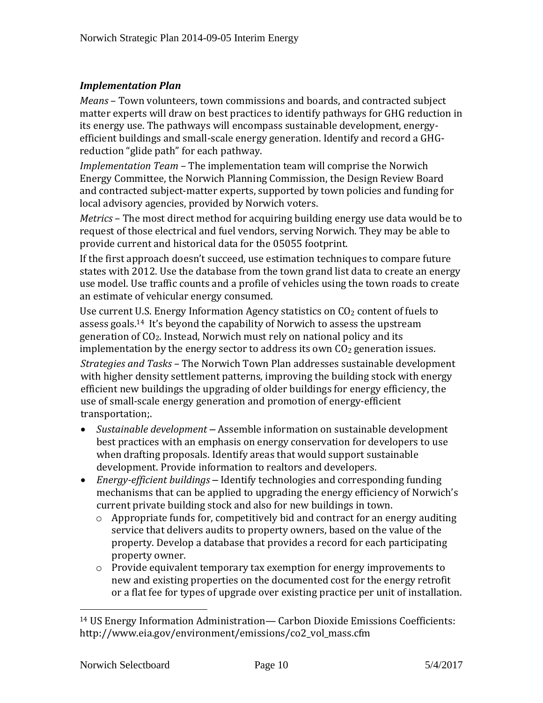# *Implementation Plan*

*Means* – Town volunteers, town commissions and boards, and contracted subject matter experts will draw on best practices to identify pathways for GHG reduction in its energy use. The pathways will encompass sustainable development, energyefficient buildings and small-scale energy generation. Identify and record a GHGreduction "glide path" for each pathway.

*Implementation Team* – The implementation team will comprise the Norwich Energy Committee, the Norwich Planning Commission, the Design Review Board and contracted subject-matter experts, supported by town policies and funding for local advisory agencies, provided by Norwich voters.

*Metrics* – The most direct method for acquiring building energy use data would be to request of those electrical and fuel vendors, serving Norwich. They may be able to provide current and historical data for the 05055 footprint.

If the first approach doesn't succeed, use estimation techniques to compare future states with 2012. Use the database from the town grand list data to create an energy use model. Use traffic counts and a profile of vehicles using the town roads to create an estimate of vehicular energy consumed.

Use current U.S. Energy Information Agency statistics on  $CO<sub>2</sub>$  content of fuels to assess goals. <sup>14</sup> It's beyond the capability of Norwich to assess the upstream generation of CO2. Instead, Norwich must rely on national policy and its implementation by the energy sector to address its own  $CO<sub>2</sub>$  generation issues.

*Strategies and Tasks* – The Norwich Town Plan addresses sustainable development with higher density settlement patterns, improving the building stock with energy efficient new buildings the upgrading of older buildings for energy efficiency, the use of small-scale energy generation and promotion of energy-efficient transportation;.

- *Sustainable development* Assemble information on sustainable development best practices with an emphasis on energy conservation for developers to use when drafting proposals. Identify areas that would support sustainable development. Provide information to realtors and developers.
- *Energy-efficient buildings* Identify technologies and corresponding funding mechanisms that can be applied to upgrading the energy efficiency of Norwich's current private building stock and also for new buildings in town.
	- o Appropriate funds for, competitively bid and contract for an energy auditing service that delivers audits to property owners, based on the value of the property. Develop a database that provides a record for each participating property owner.
	- o Provide equivalent temporary tax exemption for energy improvements to new and existing properties on the documented cost for the energy retrofit or a flat fee for types of upgrade over existing practice per unit of installation.

<sup>14</sup> US Energy Information Administration— Carbon Dioxide Emissions Coefficients: http://www.eia.gov/environment/emissions/co2\_vol\_mass.cfm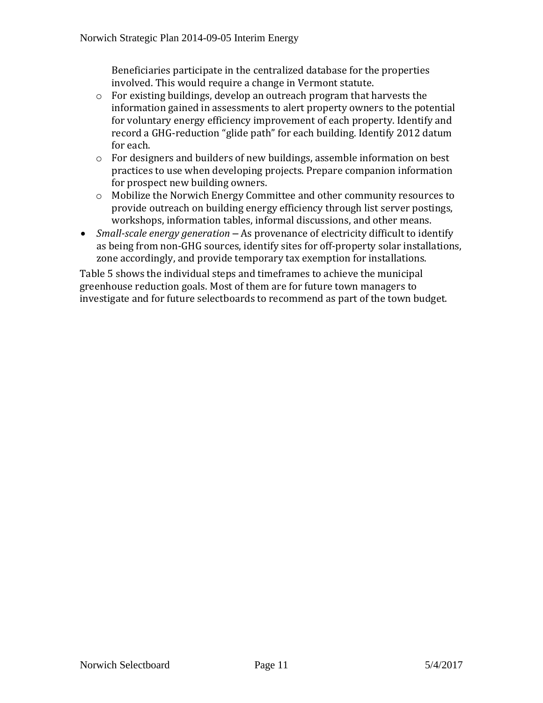Beneficiaries participate in the centralized database for the properties involved. This would require a change in Vermont statute.

- o For existing buildings, develop an outreach program that harvests the information gained in assessments to alert property owners to the potential for voluntary energy efficiency improvement of each property. Identify and record a GHG-reduction "glide path" for each building. Identify 2012 datum for each.
- o For designers and builders of new buildings, assemble information on best practices to use when developing projects. Prepare companion information for prospect new building owners.
- o Mobilize the Norwich Energy Committee and other community resources to provide outreach on building energy efficiency through list server postings, workshops, information tables, informal discussions, and other means.
- *Small-scale energy generation* As provenance of electricity difficult to identify as being from non-GHG sources, identify sites for off-property solar installations, zone accordingly, and provide temporary tax exemption for installations.

Table 5 shows the individual steps and timeframes to achieve the municipal greenhouse reduction goals. Most of them are for future town managers to investigate and for future selectboards to recommend as part of the town budget.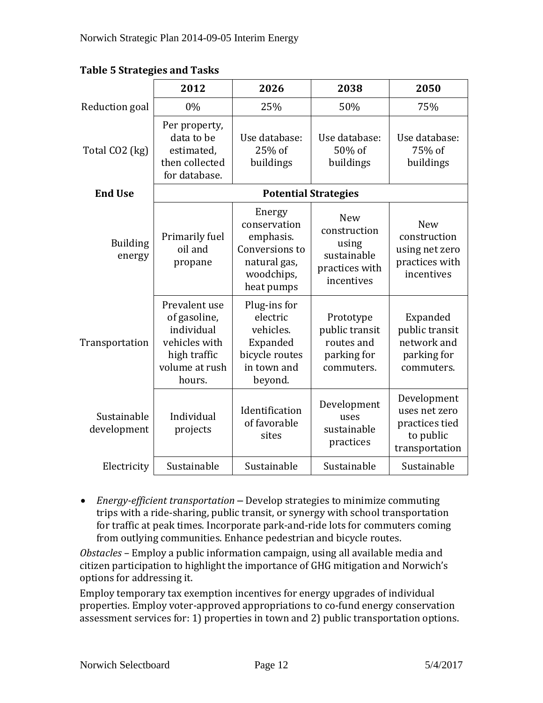|                            | 2012                                                                                                     | 2026                                                                                              | 2038                                                                               | 2050                                                                          |
|----------------------------|----------------------------------------------------------------------------------------------------------|---------------------------------------------------------------------------------------------------|------------------------------------------------------------------------------------|-------------------------------------------------------------------------------|
| Reduction goal             | 0%                                                                                                       | 25%                                                                                               | 50%                                                                                | 75%                                                                           |
| Total CO2 (kg)             | Per property,<br>data to be<br>estimated,<br>then collected<br>for database.                             | Use database:<br>25% of<br>buildings                                                              | Use database:<br>50% of<br>buildings                                               | Use database:<br>75% of<br>buildings                                          |
| <b>End Use</b>             | <b>Potential Strategies</b>                                                                              |                                                                                                   |                                                                                    |                                                                               |
| <b>Building</b><br>energy  | Primarily fuel<br>oil and<br>propane                                                                     | Energy<br>conservation<br>emphasis.<br>Conversions to<br>natural gas,<br>woodchips,<br>heat pumps | <b>New</b><br>construction<br>using<br>sustainable<br>practices with<br>incentives | <b>New</b><br>construction<br>using net zero<br>practices with<br>incentives  |
| Transportation             | Prevalent use<br>of gasoline,<br>individual<br>vehicles with<br>high traffic<br>volume at rush<br>hours. | Plug-ins for<br>electric<br>vehicles.<br>Expanded<br>bicycle routes<br>in town and<br>beyond.     | Prototype<br>public transit<br>routes and<br>parking for<br>commuters.             | Expanded<br>public transit<br>network and<br>parking for<br>commuters.        |
| Sustainable<br>development | Individual<br>projects                                                                                   | Identification<br>of favorable<br>sites                                                           | Development<br>uses<br>sustainable<br>practices                                    | Development<br>uses net zero<br>practices tied<br>to public<br>transportation |
| Electricity                | Sustainable                                                                                              | Sustainable                                                                                       | Sustainable                                                                        | Sustainable                                                                   |

**Table 5 Strategies and Tasks**

 *Energy-efficient transportation* – Develop strategies to minimize commuting trips with a ride-sharing, public transit, or synergy with school transportation for traffic at peak times. Incorporate park-and-ride lots for commuters coming from outlying communities. Enhance pedestrian and bicycle routes.

*Obstacles* – Employ a public information campaign, using all available media and citizen participation to highlight the importance of GHG mitigation and Norwich's options for addressing it.

Employ temporary tax exemption incentives for energy upgrades of individual properties. Employ voter-approved appropriations to co-fund energy conservation assessment services for: 1) properties in town and 2) public transportation options.